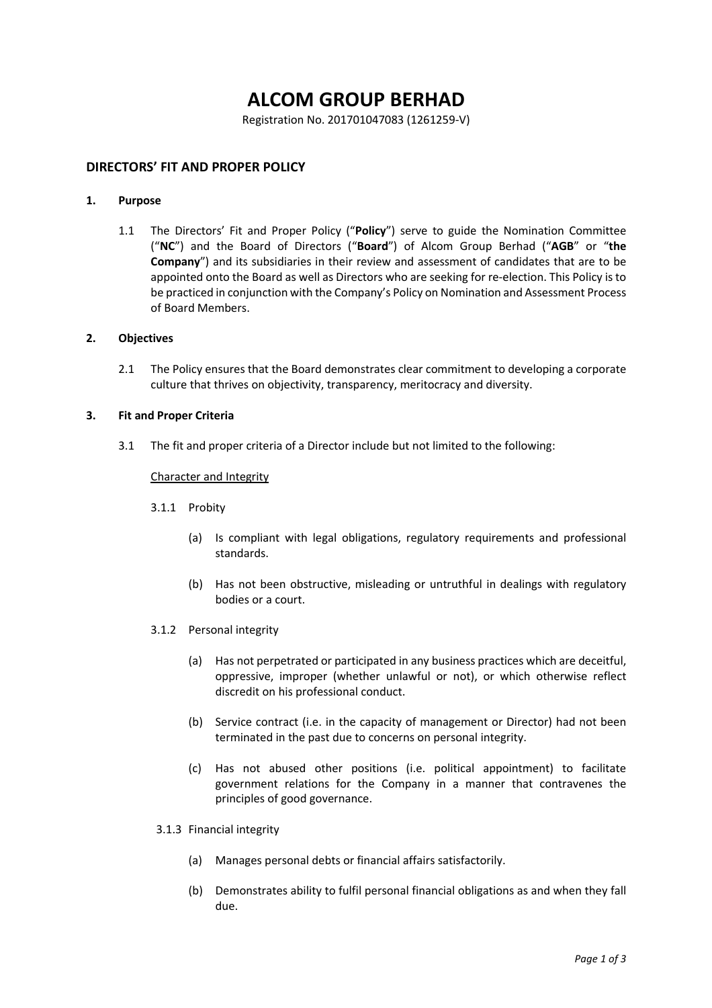# **ALCOM GROUP BERHAD**

Registration No. 201701047083 (1261259-V)

# **DIRECTORS' FIT AND PROPER POLICY**

#### **1. Purpose**

1.1 The Directors' Fit and Proper Policy ("**Policy**") serve to guide the Nomination Committee ("**NC**") and the Board of Directors ("**Board**") of Alcom Group Berhad ("**AGB**" or "**the Company**") and its subsidiaries in their review and assessment of candidates that are to be appointed onto the Board as well as Directors who are seeking for re-election. This Policy is to be practiced in conjunction with the Company's Policy on Nomination and Assessment Process of Board Members.

#### **2. Objectives**

2.1 The Policy ensures that the Board demonstrates clear commitment to developing a corporate culture that thrives on objectivity, transparency, meritocracy and diversity.

# **3. Fit and Proper Criteria**

3.1 The fit and proper criteria of a Director include but not limited to the following:

# Character and Integrity

- 3.1.1 Probity
	- (a) Is compliant with legal obligations, regulatory requirements and professional standards.
	- (b) Has not been obstructive, misleading or untruthful in dealings with regulatory bodies or a court.
- 3.1.2 Personal integrity
	- (a) Has not perpetrated or participated in any business practices which are deceitful, oppressive, improper (whether unlawful or not), or which otherwise reflect discredit on his professional conduct.
	- (b) Service contract (i.e. in the capacity of management or Director) had not been terminated in the past due to concerns on personal integrity.
	- (c) Has not abused other positions (i.e. political appointment) to facilitate government relations for the Company in a manner that contravenes the principles of good governance.
- 3.1.3 Financial integrity
	- (a) Manages personal debts or financial affairs satisfactorily.
	- (b) Demonstrates ability to fulfil personal financial obligations as and when they fall due.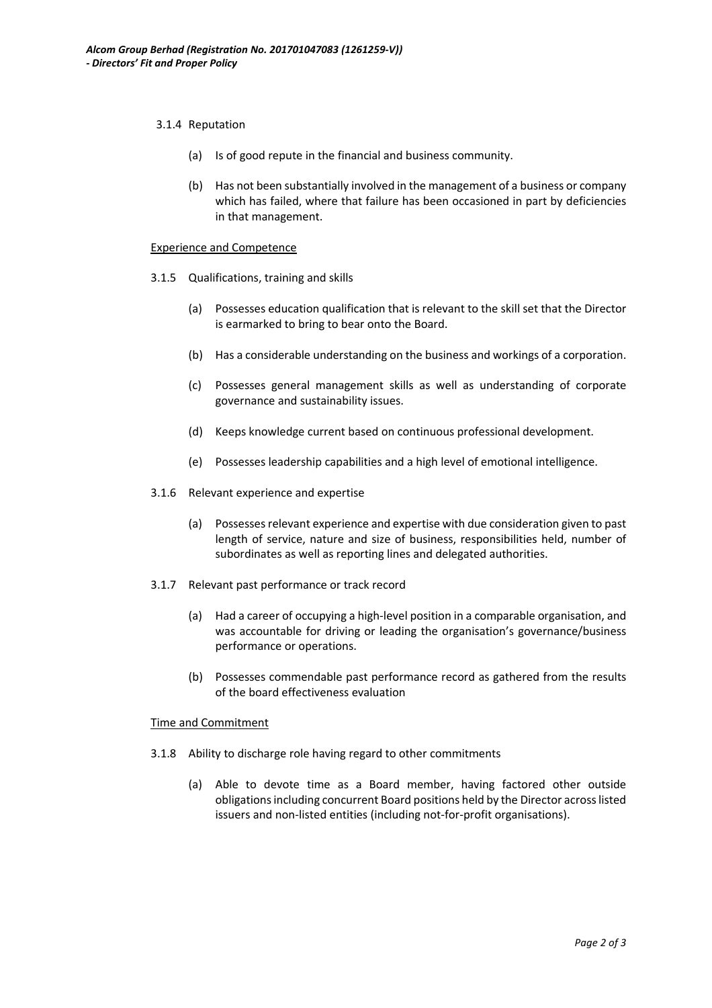#### 3.1.4 Reputation

- (a) Is of good repute in the financial and business community.
- (b) Has not been substantially involved in the management of a business or company which has failed, where that failure has been occasioned in part by deficiencies in that management.

#### Experience and Competence

- 3.1.5 Qualifications, training and skills
	- (a) Possesses education qualification that is relevant to the skill set that the Director is earmarked to bring to bear onto the Board.
	- (b) Has a considerable understanding on the business and workings of a corporation.
	- (c) Possesses general management skills as well as understanding of corporate governance and sustainability issues.
	- (d) Keeps knowledge current based on continuous professional development.
	- (e) Possesses leadership capabilities and a high level of emotional intelligence.
- 3.1.6 Relevant experience and expertise
	- (a) Possesses relevant experience and expertise with due consideration given to past length of service, nature and size of business, responsibilities held, number of subordinates as well as reporting lines and delegated authorities.
- 3.1.7 Relevant past performance or track record
	- (a) Had a career of occupying a high-level position in a comparable organisation, and was accountable for driving or leading the organisation's governance/business performance or operations.
	- (b) Possesses commendable past performance record as gathered from the results of the board effectiveness evaluation

#### Time and Commitment

- 3.1.8 Ability to discharge role having regard to other commitments
	- (a) Able to devote time as a Board member, having factored other outside obligations including concurrent Board positions held by the Director across listed issuers and non-listed entities (including not-for-profit organisations).